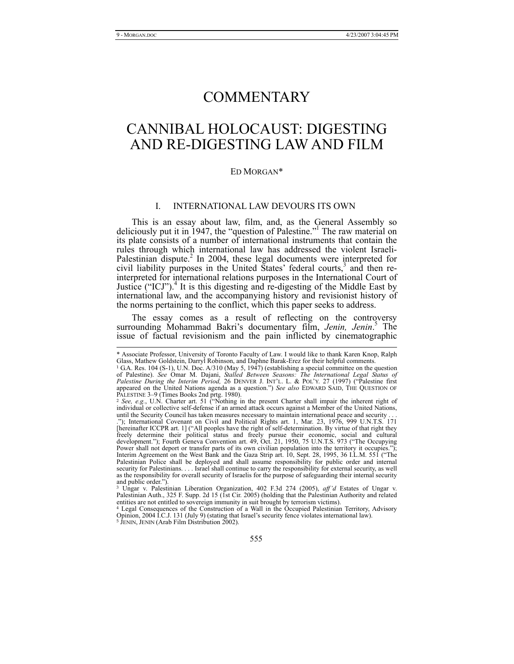# COMMENTARY

# CANNIBAL HOLOCAUST: DIGESTING AND RE-DIGESTING LAW AND FILM

#### ED MORGAN\*

#### I. INTERNATIONAL LAW DEVOURS ITS OWN

This is an essay about law, film, and, as the General Assembly so deliciously put it in 1947, the "question of Palestine."1 The raw material on its plate consists of a number of international instruments that contain the rules through which international law has addressed the violent Israeli-Palestinian dispute.<sup>2</sup> In 2004, these legal documents were interpreted for civil liability purposes in the United States' federal courts,<sup>3</sup> and then reinterpreted for international relations purposes in the International Court of Justice ("ICJ").<sup>4</sup> It is this digesting and re-digesting of the Middle East by international law, and the accompanying history and revisionist history of the norms pertaining to the conflict, which this paper seeks to address.

The essay comes as a result of reflecting on the controversy surrounding Mohammad Bakri's documentary film, Jenin, Jenin.<sup>5</sup> The issue of factual revisionism and the pain inflicted by cinematographic

 <sup>\*</sup> Associate Professor, University of Toronto Faculty of Law. I would like to thank Karen Knop, Ralph Glass, Mathew Goldstein, Darryl Robinson, and Daphne Barak-Erez for their helpful comments.

<sup>1</sup> G.A. Res. 104 (S-1), U.N. Doc. A/310 (May 5, 1947) (establishing a special committee on the question of Palestine). *See* Omar M. Dajani, *Stalled Between Seasons: The International Legal Status of Palestine During the Interim Period,* 26 DENVER J. INT'L. L. & POL'Y. 27 (1997) ("Palestine first appeared on the United Nations agenda as a question.") *See also* EDWARD SAID, THE QUESTION OF PALESTINE 3–9 (Times Books 2nd prtg. 1980).

<sup>2</sup> *See, e.g.*, U.N. Charter art. 51 ("Nothing in the present Charter shall impair the inherent right of individual or collective self-defense if an armed attack occurs against a Member of the United Nations, until the Security Council has taken measures necessary to maintain international peace and security ."); International Covenant on Civil and Political Rights art. 1, Mar. 23, 1976, 999 U.N.T.S. 171 [hereinafter ICCPR art. 1] ("All peoples have the right of self-determination. By virtue of that right they freely determine their political status and freely pursue their economic, social and cultural development."); Fourth Geneva Convention art. 49, Oct. 21, 1950, 75 U.N.T.S. 973 ("The Occupying Power shall not deport or transfer parts of its own civilian population into the territory it occupies."); Interim Agreement on the West Bank and the Gaza Strip art. 10, Sept. 28, 1995, 36 I.L.M. 551 ("The Palestinian Police shall be deployed and shall assume responsibility for public order and internal security for Palestinians. . . . Israel shall continue to carry the responsibility for external security, as well as the responsibility for overall security of Israelis for the purpose of safeguarding their internal security and public order.").

<sup>3</sup> Ungar v. Palestinian Liberation Organization, 402 F.3d 274 (2005), *aff'd* Estates of Ungar v. Palestinian Auth., 325 F. Supp. 2d 15 (1st Cir. 2005) (holding that the Palestinian Authority and related entities are not entitled to sovereign immunity in suit brought by terrorism victims).

<sup>4</sup> Legal Consequences of the Construction of a Wall in the Occupied Palestinian Territory, Advisory Opinion, 2004 I.C.J. 131 (July 9) (stating that Israel's security fence violates international law). <sup>5</sup> JENIN, JENIN (Arab Film Distribution 2002).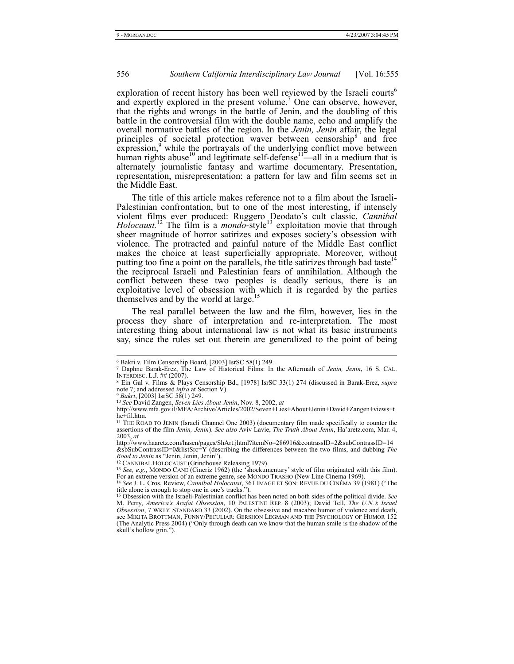exploration of recent history has been well reviewed by the Israeli courts<sup>6</sup> and expertly explored in the present volume.<sup>7</sup> One can observe, however, that the rights and wrongs in the battle of Jenin, and the doubling of this battle in the controversial film with the double name, echo and amplify the overall normative battles of the region. In the *Jenin, Jenin* affair, the legal principles of societal protection waver between censorship  $\delta$  and free  $\frac{1}{2}$  expression,  $\frac{9}{2}$  while the portrayals of the underlying conflict move between human rights abuse<sup>10</sup> and legitimate self-defense<sup>11</sup>—all in a medium that is alternately journalistic fantasy and wartime documentary. Presentation, representation, misrepresentation: a pattern for law and film seems set in the Middle East.

The title of this article makes reference not to a film about the Israeli-Palestinian confrontation, but to one of the most interesting, if intensely violent films ever produced: Ruggero Deodato's cult classic, *Cannibal Holocaust.*<sup>12</sup> The film is a *mondo*-style<sup>13</sup> exploitation movie that through sheer magnitude of horror satirizes and exposes society's obsession with violence. The protracted and painful nature of the Middle East conflict makes the choice at least superficially appropriate. Moreover, without putting too fine a point on the parallels, the title satirizes through bad taste<sup>14</sup> the reciprocal Israeli and Palestinian fears of annihilation. Although the conflict between these two peoples is deadly serious, there is an exploitative level of obsession with which it is regarded by the parties themselves and by the world at large.<sup>15</sup>

The real parallel between the law and the film, however, lies in the process they share of interpretation and re-interpretation. The most interesting thing about international law is not what its basic instruments say, since the rules set out therein are generalized to the point of being

l

12 CANNIBAL HOLOCAUST (Grindhouse Releasing 1979).

<sup>6</sup> Bakri v. Film Censorship Board, [2003] IsrSC 58(1) 249.

<sup>7</sup> Daphne Barak-Erez, The Law of Historical Films: In the Aftermath of *Jenin, Jenin*, 16 S. CAL. INTERDISC. L.J. ## (2007).

<sup>8</sup> Ein Gal v. Films & Plays Censorship Bd., [1978] IsrSC 33(1) 274 (discussed in Barak-Erez, *supra*  note 7; and addressed *infra* at Section V).

<sup>9</sup> *Bakri*, [2003] IsrSC 58(1) 249.

<sup>10</sup> *See* David Zangen, *Seven Lies About Jenin*, Nov. 8, 2002, *at*

http://www.mfa.gov.il/MFA/Archive/Articles/2002/Seven+Lies+About+Jenin+David+Zangen+views+t he+fil.htm.

<sup>11</sup> THE ROAD TO JENIN (Israeli Channel One 2003) (documentary film made specifically to counter the assertions of the film *Jenin, Jenin*). *See also* Aviv Lavie, *The Truth About Jenin*, Ha'aretz.com, Mar. 4, 2003, *at*

http://www.haaretz.com/hasen/pages/ShArt.jhtml?itemNo=286916&contrassID=2&subContrassID=14 &sbSubContrassID=0&listSrc=Y (describing the differences between the two films, and dubbing *The Road to Jenin* as "Jenin, Jenin, Jenin").

<sup>13</sup> *See, e.g.*, MONDO CANE (Cineriz 1962) (the 'shockumentary' style of film originated with this film). For an extreme version of an extreme genre, see MONDO TRASHO (New Line Cinema 1969).

<sup>14</sup> *See* J. L. Cros, Review, *Cannibal Holocaust*, 361 IMAGE ET SON: REVUE DU CINÉMA 39 (1981) ("The title alone is enough to stop one in one's tracks.

<sup>15</sup> Obsession with the Israeli-Palestinian conflict has been noted on both sides of the political divide. *See* M. Perry, *America's Arafat Obsession*, 10 PALESTINE REP. 8 (2003); David Tell, *The U.N.'s Israel Obsession*, 7 WKLY. STANDARD 33 (2002). On the obsessive and macabre humor of violence and death, see MIKITA BROTTMAN, FUNNY/PECULIAR: GERSHON LEGMAN AND THE PSYCHOLOGY OF HUMOR 152 (The Analytic Press 2004) ("Only through death can we know that the human smile is the shadow of the skull's hollow grin.").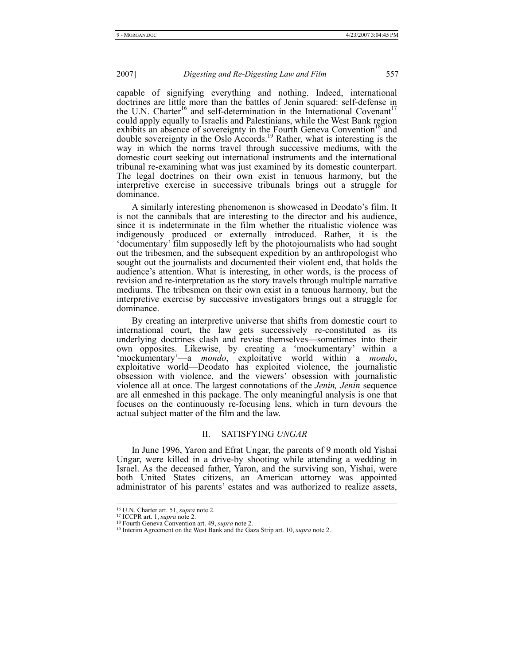capable of signifying everything and nothing. Indeed, international doctrines are little more than the battles of Jenin squared: self-defense in the U.N. Charter<sup>16</sup> and self-determination in the International Covenant<sup>17</sup> could apply equally to Israelis and Palestinians, while the West Bank region exhibits an absence of sovereignty in the Fourth Geneva Convention<sup>18</sup> and double sovereignty in the Oslo Accords.<sup>19</sup> Rather, what is interesting is the way in which the norms travel through successive mediums, with the domestic court seeking out international instruments and the international tribunal re-examining what was just examined by its domestic counterpart. The legal doctrines on their own exist in tenuous harmony, but the interpretive exercise in successive tribunals brings out a struggle for dominance.

A similarly interesting phenomenon is showcased in Deodato's film. It is not the cannibals that are interesting to the director and his audience, since it is indeterminate in the film whether the ritualistic violence was indigenously produced or externally introduced. Rather, it is the 'documentary' film supposedly left by the photojournalists who had sought out the tribesmen, and the subsequent expedition by an anthropologist who sought out the journalists and documented their violent end, that holds the audience's attention. What is interesting, in other words, is the process of revision and re-interpretation as the story travels through multiple narrative mediums. The tribesmen on their own exist in a tenuous harmony, but the interpretive exercise by successive investigators brings out a struggle for dominance.

By creating an interpretive universe that shifts from domestic court to international court, the law gets successively re-constituted as its underlying doctrines clash and revise themselves—sometimes into their own opposites. Likewise, by creating a 'mockumentary' within a 'mockumentary'—a *mondo*, exploitative world within a *mondo*, exploitative world—Deodato has exploited violence, the journalistic obsession with violence, and the viewers' obsession with journalistic violence all at once. The largest connotations of the *Jenin, Jenin* sequence are all enmeshed in this package. The only meaningful analysis is one that focuses on the continuously re-focusing lens, which in turn devours the actual subject matter of the film and the law.

# II. SATISFYING *UNGAR*

In June 1996, Yaron and Efrat Ungar, the parents of 9 month old Yishai Ungar, were killed in a drive-by shooting while attending a wedding in Israel. As the deceased father, Yaron, and the surviving son, Yishai, were both United States citizens, an American attorney was appointed administrator of his parents' estates and was authorized to realize assets,

<sup>16</sup> U.N. Charter art. 51, *supra* note 2.

<sup>17</sup> ICCPR art. 1, *supra* note 2.

<sup>18</sup> Fourth Geneva Convention art. 49, *supra* note 2.

<sup>19</sup> Interim Agreement on the West Bank and the Gaza Strip art. 10, *supra* note 2.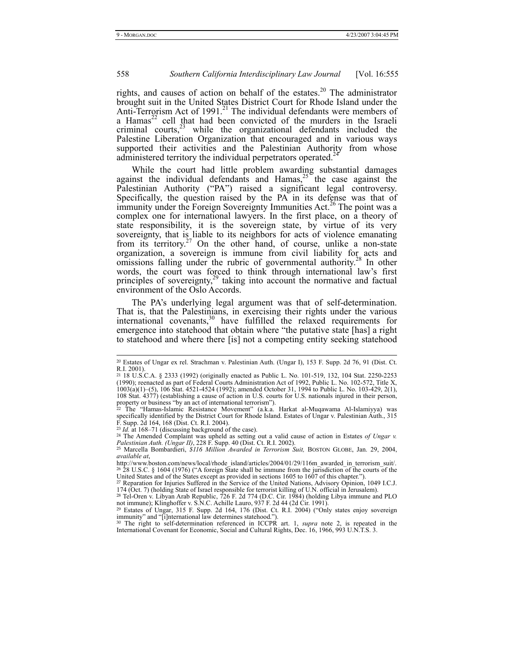rights, and causes of action on behalf of the estates.<sup>20</sup> The administrator brought suit in the United States District Court for Rhode Island under the Anti-Terrorism Act of 1991.<sup>21</sup> The individual defendants were members of a Hamas $^{22}$  cell that had been convicted of the murders in the Israeli criminal courts,  $2^3$  while the organizational defendants included the Palestine Liberation Organization that encouraged and in various ways supported their activities and the Palestinian Authority from whose administered territory the individual perpetrators operated.<sup>24</sup>

While the court had little problem awarding substantial damages against the individual defendants and Hamas,  $25$  the case against the Palestinian Authority ("PA") raised a significant legal controversy. Specifically, the question raised by the PA in its defense was that of immunity under the Foreign Sovereignty Immunities Act.<sup>26</sup> The point was a complex one for international lawyers. In the first place, on a theory of state responsibility, it is the sovereign state, by virtue of its very sovereignty, that is liable to its neighbors for acts of violence emanating from its territory.<sup>27</sup> On the other hand, of course, unlike a non-state organization, a sovereign is immune from civil liability for acts and omissions falling under the rubric of governmental authority.<sup>28</sup> In other words, the court was forced to think through international law's first principles of sovereignty, $2^9$  taking into account the normative and factual environment of the Oslo Accords.

The PA's underlying legal argument was that of self-determination. That is, that the Palestinians, in exercising their rights under the various international covenants,<sup>30</sup> have fulfilled the relaxed requirements for emergence into statehood that obtain where "the putative state [has] a right to statehood and where there [is] not a competing entity seeking statehood

<sup>20</sup> Estates of Ungar ex rel. Strachman v. Palestinian Auth. (Ungar I), 153 F. Supp. 2d 76, 91 (Dist. Ct. R.I. 2001).

<sup>21</sup> 18 U.S.C.A. § 2333 (1992) (originally enacted as Public L. No. 101-519, 132, 104 Stat. 2250-2253 (1990); reenacted as part of Federal Courts Administration Act of 1992, Public L. No. 102-572, Title X, 1003(a)(1)–(5), 106 Stat. 4521-4524 (1992); amended October 31, 1994 to Public L. No. 103-429, 2(1), 108 Stat. 4377) (establishing a cause of action in U.S. courts for U.S. nationals injured in their person, property or business "by an act of international terrorism"). <sup>22</sup> The "Hamas-Islamic Resistance Movement" (a.k.a. Harkat al-Muqawama Al-Islamiyya) was

specifically identified by the District Court for Rhode Island. Estates of Ungar v. Palestinian Auth., 315 F. Supp. 2d 164, 168 (Dist. Ct. R.I. 2004).

<sup>23</sup> *Id.* at 168–71 (discussing background of the case). <sup>24</sup> The Amended Complaint was upheld as setting out a valid cause of action in Estates *of Ungar v. Palestinian Auth. (Ungar II)*, 228 F. Supp. 40 (Dist. Ct. R.I. 2002). <sup>25</sup> Marcella Bombardieri, *\$116 Million Awarded in Terrorism Suit,* BOSTON GLOBE, Jan. 29, 2004,

*available at*,

http://www.boston.com/news/local/rhode\_island/articles/2004/01/29/116m\_awarded\_in\_terrorism\_suit/. <sup>26</sup> 28 U.S.C. § 1604 (1976) ("A foreign State shall be immune from the jurisdiction of the courts of the United States and of the States except as provided in sections 1605 to 1607 of this chapter.").

<sup>&</sup>lt;sup>27</sup> Reparation for Injuries Suffered in the Service of the United Nations, Advisory Opinion, 1049 I.C.J. 174 (Oct. 7) (holding State of Israel responsible for terrorist killing of U.N. official in Jerusalem).<br><sup>28</sup> Tel-Ore

not immune); Klinghoffer v. S.N.C. Achille Lauro, 937 F. 2d 44 (2d Cir. 1991).<br><sup>29</sup> Estates of Ungar, 315 F. Supp. 2d 164, 176 (Dist. Ct. R.I. 2004) ("Only states enjoy sovereign<br>immunity" and "[i]nternational law determin

<sup>30</sup> The right to self-determination referenced in ICCPR art. 1, *supra* note 2, is repeated in the International Covenant for Economic, Social and Cultural Rights, Dec. 16, 1966, 993 U.N.T.S. 3.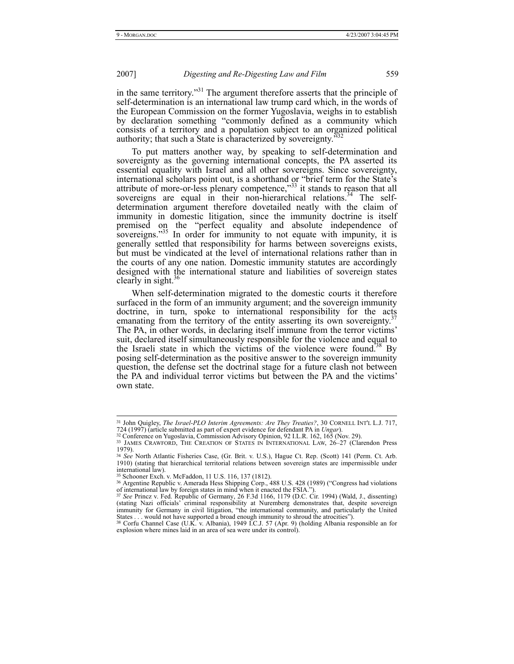in the same territory."31 The argument therefore asserts that the principle of self-determination is an international law trump card which, in the words of the European Commission on the former Yugoslavia, weighs in to establish by declaration something "commonly defined as a community which consists of a territory and a population subject to an organized political authority; that such a State is characterized by sovereignty.<sup>3</sup>

To put matters another way, by speaking to self-determination and sovereignty as the governing international concepts, the PA asserted its essential equality with Israel and all other sovereigns. Since sovereignty, international scholars point out, is a shorthand or "brief term for the State's attribute of more-or-less plenary competence,"<sup>33</sup> it stands to reason that all sovereigns are equal in their non-hierarchical relations.<sup>34</sup> The selfdetermination argument therefore dovetailed neatly with the claim of immunity in domestic litigation, since the immunity doctrine is itself premised on the "perfect equality and absolute independence of sovereigns."<sup>35</sup> In order for immunity to not equate with impunity, it is generally settled that responsibility for harms between sovereigns exists, but must be vindicated at the level of international relations rather than in the courts of any one nation. Domestic immunity statutes are accordingly designed with the international stature and liabilities of sovereign states clearly in sight. $\frac{3}{5}$ 

When self-determination migrated to the domestic courts it therefore surfaced in the form of an immunity argument; and the sovereign immunity doctrine, in turn, spoke to international responsibility for the acts emanating from the territory of the entity asserting its own sovereignty.<sup>3</sup> The PA, in other words, in declaring itself immune from the terror victims' suit, declared itself simultaneously responsible for the violence and equal to the Israeli state in which the victims of the violence were found.<sup>38</sup> By posing self-determination as the positive answer to the sovereign immunity question, the defense set the doctrinal stage for a future clash not between the PA and individual terror victims but between the PA and the victims' own state.

<sup>31</sup> John Quigley, *The Israel-PLO Interim Agreements: Are They Treaties?*, 30 CORNELL INT'L L.J. 717, 724 (1997) (article submitted as part of expert evidence for defendant PA in *Ungar*). <sup>32</sup> Conference on Yugoslavia, Commission Advisory Opinion, 92 I.L.R. 162, 165 (Nov. 29).

<sup>&</sup>lt;sup>33</sup> JAMES CRAWFORD, THE CREATION OF STATES IN INTERNATIONAL LAW, 26-27 (Clarendon Press 1979).

<sup>34</sup> *See* North Atlantic Fisheries Case, (Gr. Brit. v. U.S.), Hague Ct. Rep. (Scott) 141 (Perm. Ct. Arb. 1910) (stating that hierarchical territorial relations between sovereign states are impermissible under international law).

<sup>35</sup> Schooner Exch. v. McFaddon, 11 U.S. 116, 137 (1812).

<sup>36</sup> Argentine Republic v. Amerada Hess Shipping Corp., 488 U.S. 428 (1989) ("Congress had violations of international law by foreign states in mind when it enacted the FSIA."). <sup>37</sup> *See* Princz v. Fed. Republic of Germany, 26 F.3d 1166, 1179 (D.C. Cir. 1994) (Wald, J., dissenting)

<sup>(</sup>stating Nazi officials' criminal responsibility at Nuremberg demonstrates that, despite sovereign immunity for Germany in civil litigation, "the international community, and particularly the United States . . . would not have supported a broad enough immunity to shroud the atrocities").

<sup>38</sup> Corfu Channel Case (U.K. v. Albania), 1949 I.C.J. 57 (Apr. 9) (holding Albania responsible an for explosion where mines laid in an area of sea were under its control).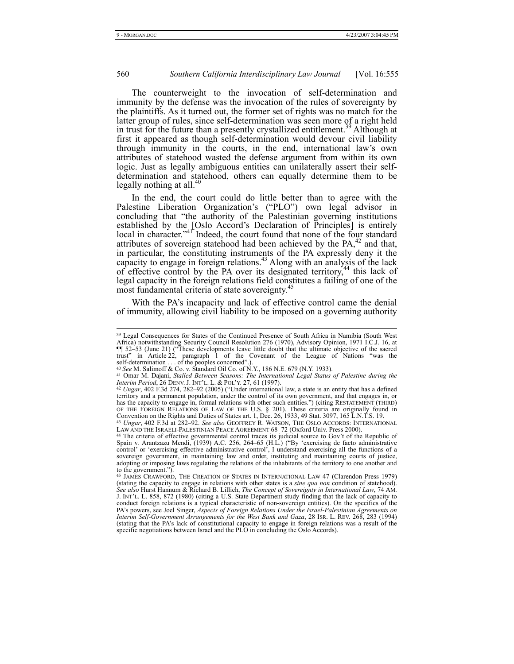# 560 *Southern California Interdisciplinary Law Journal* [Vol. 16:555

The counterweight to the invocation of self-determination and immunity by the defense was the invocation of the rules of sovereignty by the plaintiffs. As it turned out, the former set of rights was no match for the latter group of rules, since self-determination was seen more of a right held in trust for the future than a presently crystallized entitlement.<sup>39</sup> Although at first it appeared as though self-determination would devour civil liability through immunity in the courts, in the end, international law's own attributes of statehood wasted the defense argument from within its own logic. Just as legally ambiguous entities can unilaterally assert their selfdetermination and statehood, others can equally determine them to be legally nothing at all.<sup>40</sup>

In the end, the court could do little better than to agree with the Palestine Liberation Organization's ("PLO") own legal advisor in concluding that "the authority of the Palestinian governing institutions established by the [Oslo Accord's Declaration of Principles] is entirely local in character."<sup>41</sup> Indeed, the court found that none of the four standard attributes of sovereign statehood had been achieved by the  $PA<sub>1</sub><sup>42</sup>$  and that, in particular, the constituting instruments of the PA expressly deny it the capacity to engage in foreign relations.<sup>43</sup> Along with an analysis of the lack of effective control by the PA over its designated territory,<sup>44</sup> this lack of legal capacity in the foreign relations field constitutes a failing of one of the most fundamental criteria of state sovereignty.<sup>4</sup>

With the PA's incapacity and lack of effective control came the denial of immunity, allowing civil liability to be imposed on a governing authority

<sup>39</sup> Legal Consequences for States of the Continued Presence of South Africa in Namibia (South West Africa) notwithstanding Security Council Resolution 276 (1970), Advisory Opinion, 1971 I.C.J. 16, at ¶¶ 52–53 (June 21) ("These developments leave little doubt that the ultimate objective of the sacred trust" in Article 22, paragraph 1 of the Covenant of the League of Nations "was the self-determination . . . of the peoples concerned".).

<sup>40</sup> *See* M. Salimoff & Co. v. Standard Oil Co. of N.Y., 186 N.E. 679 (N.Y. 1933).

<sup>41</sup> Omar M. Dajani, *Stalled Between Seasons: The International Legal Status of Palestine during the Interim Period*, 26 DENV. J. INT'L. L. & POL'Y. 27, 61 (1997).

<sup>42</sup> *Ungar*, 402 F.3d 274, 282–92 (2005) ("Under international law, a state is an entity that has a defined territory and a permanent population, under the control of its own government, and that engages in, or has the capacity to engage in, formal relations with other such entities.") (citing RESTATEMENT (THIRD) OF THE FOREIGN RELATIONS OF LAW OF THE U.S. § 201). These criteria are originally found in Convention on the Rights and Duties of States art. 1, Dec. 26, 1933, 49 Stat. 3097, 165 L.N.T.S. 19. <sup>43</sup> *Ungar*, 402 F.3d at 282–92. *See also* GEOFFREY R. WATSON, THE OSLO ACCORDS: INTERNATIONAL

LAW AND THE ISRAELI-PALESTINIAN PEACE AGREEMENT 68-72 (Oxford Univ. Press 2000).

<sup>44</sup> The criteria of effective governmental control traces its judicial source to Gov't of the Republic of Spain v. Arantzazu Mendi, (1939) A.C. 256, 264–65 (H.L.) ("By 'exercising de facto administrative control' or 'exercising effective administrative control', I understand exercising all the functions of a sovereign governme adopting or imposing laws regulating the relations of the inhabitants of the territory to one another and to the government.").

<sup>45</sup> JAMES CRAWFORD, THE CREATION OF STATES IN INTERNATIONAL LAW 47 (Clarendon Press 1979) (stating the capacity to engage in relations with other states is a *sine qua non* condition of statehood). *See also* Hurst Hannum & Richard B. Lillich, *The Concept of Sovereignty in International Law*, 74 AM. J. INT'L. L. 858, 872 (1980) (citing a U.S. State Department study finding that the lack of capacity to conduct foreign relations is a typical characteristic of non-sovereign entities). On the specifics of the PA's powers, see Joel Singer, *Aspects of Foreign Relations Under the Israel-Palestinian Agreements on Interim Self-Government Arrangements for the West Bank and Gaza*, 28 ISR. L. REV. 268, 283 (1994) (stating that the PA's lack of constitutional capacity to engage in foreign relations was a result of the specific negotiations between Israel and the PLO in concluding the Oslo Accords).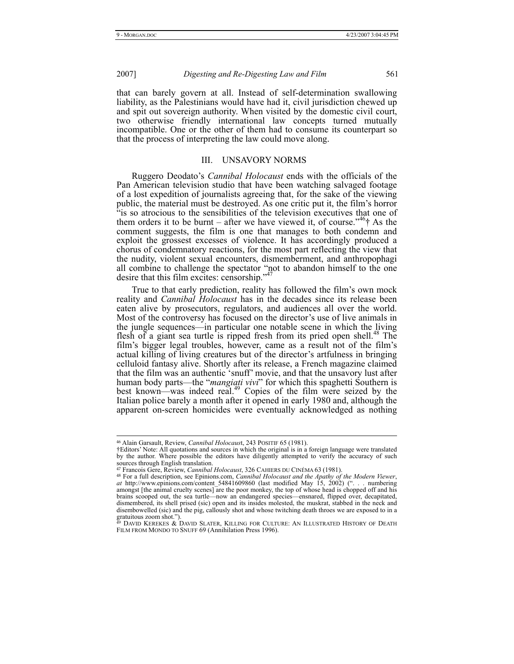# 2007] *Digesting and Re-Digesting Law and Film* 561

that can barely govern at all. Instead of self-determination swallowing liability, as the Palestinians would have had it, civil jurisdiction chewed up and spit out sovereign authority. When visited by the domestic civil court, two otherwise friendly international law concepts turned mutually incompatible. One or the other of them had to consume its counterpart so that the process of interpreting the law could move along.

#### III. UNSAVORY NORMS

Ruggero Deodato's *Cannibal Holocaust* ends with the officials of the Pan American television studio that have been watching salvaged footage of a lost expedition of journalists agreeing that, for the sake of the viewing public, the material must be destroyed. As one critic put it, the film's horror "is so atrocious to the sensibilities of the television executives that one of them orders it to be burnt – after we have viewed it, of course.<sup> $146$ </sup>  $\dagger$  As the comment suggests, the film is one that manages to both condemn and exploit the grossest excesses of violence. It has accordingly produced a chorus of condemnatory reactions, for the most part reflecting the view that the nudity, violent sexual encounters, dismemberment, and anthropophagi all combine to challenge the spectator "not to abandon himself to the one desire that this film excites: censorship."<sup>47</sup>

True to that early prediction, reality has followed the film's own mock reality and *Cannibal Holocaust* has in the decades since its release been eaten alive by prosecutors, regulators, and audiences all over the world. Most of the controversy has focused on the director's use of live animals in the jungle sequences—in particular one notable scene in which the living flesh of a giant sea turtle is ripped fresh from its pried open shell.<sup>48</sup> The film's bigger legal troubles, however, came as a result not of the film's actual killing of living creatures but of the director's artfulness in bringing celluloid fantasy alive. Shortly after its release, a French magazine claimed that the film was an authentic 'snuff' movie, and that the unsavory lust after human body parts—the "*mangiati vivi*" for which this spaghetti Southern is best known—was indeed real.<sup>49</sup> Copies of the film were seized by the Italian police barely a month after it opened in early 1980 and, although the apparent on-screen homicides were eventually acknowledged as nothing

<sup>46</sup> Alain Garsault, Review, *Cannibal Holocaus*t, 243 POSITIF 65 (1981).

<sup>†</sup>Editors' Note: All quotations and sources in which the original is in a foreign language were translated by the author. Where possible the editors have diligently attempted to verify the accuracy of such sources through English translation.

<sup>47</sup> Francois Gere, Review, *Cannibal Holocaust*, 326 CAHIERS DU CINÉMA 63 (1981). <sup>48</sup> For a full description, see Epinions.com, *Cannibal Holocaust and the Apathy of the Modern Viewer*, *at* http://www.epinions.com/content\_54841609860 (last modified May 15, 2002) (". . . numbering amongst [the animal cruelty scenes] are the poor monkey, the top of whose head is chopped off and his brains scooped out, the sea turtle—now an endangered species—ensnared, flipped over, decapitated, dismembered, its shell prised (sic) open and its insides molested, the muskrat, stabbed in the neck and disembowelled (sic) and the pig, callously shot and whose twitching death throes we are exposed to in a gratuitous zoom shot.").

<sup>49</sup> DAVID KEREKES & DAVID SLATER, KILLING FOR CULTURE: AN ILLUSTRATED HISTORY OF DEATH FILM FROM MONDO TO SNUFF 69 (Annihilation Press 1996).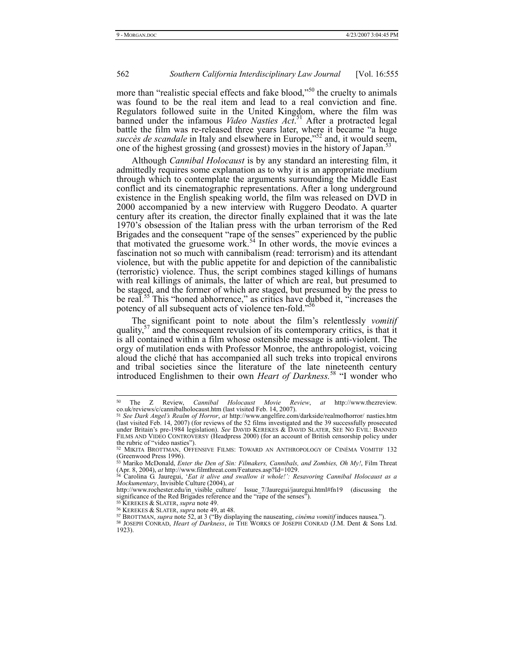more than "realistic special effects and fake blood,"<sup>50</sup> the cruelty to animals was found to be the real item and lead to a real conviction and fine. Regulators followed suite in the United Kingdom, where the film was banned under the infamous *Video Nasties Act*. 51 After a protracted legal battle the film was re-released three years later, where it became "a huge succès de scandale in Italy and elsewhere in Europe,"<sup>52</sup> and, it would seem, one of the highest grossing (and grossest) movies in the history of Japan.<sup>53</sup>

Although *Cannibal Holocaust* is by any standard an interesting film, it admittedly requires some explanation as to why it is an appropriate medium through which to contemplate the arguments surrounding the Middle East conflict and its cinematographic representations. After a long underground existence in the English speaking world, the film was released on DVD in 2000 accompanied by a new interview with Ruggero Deodato. A quarter century after its creation, the director finally explained that it was the late 1970's obsession of the Italian press with the urban terrorism of the Red Brigades and the consequent "rape of the senses" experienced by the public that motivated the gruesome work.<sup>54</sup> In other words, the movie evinces a fascination not so much with cannibalism (read: terrorism) and its attendant violence, but with the public appetite for and depiction of the cannibalistic (terroristic) violence. Thus, the script combines staged killings of humans with real killings of animals, the latter of which are real, but presumed to be staged, and the former of which are staged, but presumed by the press to be real.<sup>55</sup> This "honed abhorrence," as critics have dubbed it, "increases the potency of all subsequent acts of violence ten-fold."<sup>56</sup>

The significant point to note about the film's relentlessly *vomitif* quality, $5<sup>7</sup>$  and the consequent revulsion of its contemporary critics, is that it is all contained within a film whose ostensible message is anti-violent. The orgy of mutilation ends with Professor Monroe, the anthropologist, voicing aloud the cliché that has accompanied all such treks into tropical environs and tribal societies since the literature of the late nineteenth century introduced Englishmen to their own *Heart of Darkness.*58 "I wonder who

<sup>50</sup> <sup>50</sup> The Z Review, *Cannibal Holocaust Movie Review*, *at* http://www.thezreview. co.uk/reviews/c/cannibalholocaust.htm (last visited Feb. 14, 2007).

<sup>51</sup> *See Dark Angel's Realm of Horror*, *at* http://www.angelfire.com/darkside/realmofhorror/ nasties.htm (last visited Feb. 14, 2007) (for reviews of the 52 films investigated and the 39 successfully prosecuted under Britain's pre-1984 legislation). *See* DAVID KEREKES & DAVID SLATER, SEE NO EVIL: BANNED FILMS AND VIDEO CONTROVERSY (Headpress 2000) (for an account of British censorship policy under the rubric of "video nasties").

<sup>52</sup> MIKITA BROTTMAN, OFFENSIVE FILMS: TOWARD AN ANTHROPOLOGY OF CINÉMA VOMITIF 132 (Greenwood Press 1996).

<sup>53</sup> Mariko McDonald, *Enter the Den of Sin: Filmakers, Cannibals, and Zombies, Oh My!*, Film Threat (Apr. 8, 2004), *at* http://www.filmthreat.com/Features.asp?Id=1029. <sup>54</sup> Carolina G. Jauregui, '*Eat it alive and swallow it whole!': Resavoring Cannibal Holocaust as a* 

*Mockumentary*, Invisible Culture (2004), *at* 

http://www.rochester.edu/in\_visible\_culture/ Issue\_7/Jauregui/jauregui.html#fn19 (discussing the significance of the Red Brigades reference and the "rape of the senses").

<sup>55</sup> KEREKES & SLATER, *supra* note 49.

<sup>&</sup>lt;sup>56</sup> KEREKES & SLATER, *supra* note 49, at 48.<br><sup>57</sup> BROTTMAN, *supra* note 52, at 3 ("By displaying the nauseating, *cinéma vomitif* induces nausea.").

<sup>58</sup> JOSEPH CONRAD, *Heart of Darkness*, *in* THE WORKS OF JOSEPH CONRAD (J.M. Dent & Sons Ltd. 1923).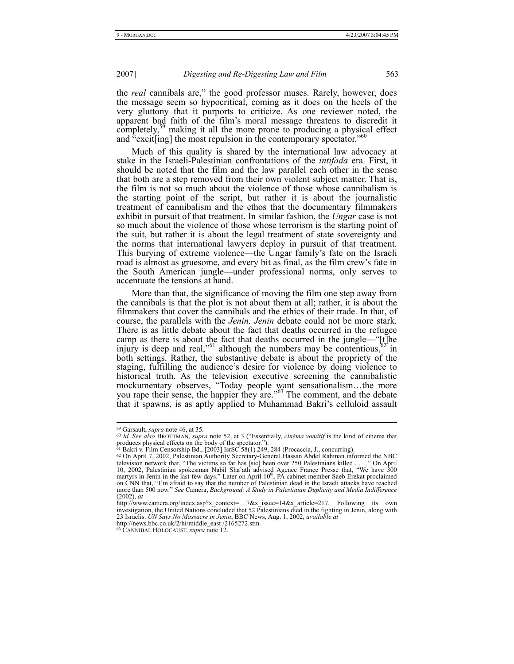the *real* cannibals are," the good professor muses. Rarely, however, does the message seem so hypocritical, coming as it does on the heels of the very gluttony that it purports to criticize. As one reviewer noted, the apparent bad faith of the film's moral message threatens to discredit it completely,<sup>59</sup> making it all the more prone to producing a physical effect and "excit[ing] the most repulsion in the contemporary spectator."<sup>6</sup>

Much of this quality is shared by the international law advocacy at stake in the Israeli-Palestinian confrontations of the *intifada* era. First, it should be noted that the film and the law parallel each other in the sense that both are a step removed from their own violent subject matter. That is, the film is not so much about the violence of those whose cannibalism is the starting point of the script, but rather it is about the journalistic treatment of cannibalism and the ethos that the documentary filmmakers exhibit in pursuit of that treatment. In similar fashion, the *Ungar* case is not so much about the violence of those whose terrorism is the starting point of the suit, but rather it is about the legal treatment of state sovereignty and the norms that international lawyers deploy in pursuit of that treatment. This burying of extreme violence—the Ungar family's fate on the Israeli road is almost as gruesome, and every bit as final, as the film crew's fate in the South American jungle—under professional norms, only serves to accentuate the tensions at hand.

More than that, the significance of moving the film one step away from the cannibals is that the plot is not about them at all; rather, it is about the filmmakers that cover the cannibals and the ethics of their trade. In that, of course, the parallels with the *Jenin, Jenin* debate could not be more stark. There is as little debate about the fact that deaths occurred in the refugee camp as there is about the fact that deaths occurred in the jungle—"[t]he injury is deep and real,"<sup>61</sup> although the numbers may be contentious,  $62$  in both settings. Rather, the substantive debate is about the propriety of the staging, fulfilling the audience's desire for violence by doing violence to historical truth. As the television executive screening the cannibalistic mockumentary observes, "Today people want sensationalism…the more you rape their sense, the happier they are."<sup>63</sup> The comment, and the debate that it spawns, is as aptly applied to Muhammad Bakri's celluloid assault

<sup>59</sup> Garsault, *supra* note 46, at 35.

<sup>60</sup> *Id. See also* BROTTMAN, *supra* note 52, at 3 ("Essentially, *cinéma vomitif* is the kind of cinema that produces physical effects on the body of the spectator.").<br><sup>61</sup> Bakri v. Film Censorship Bd., [2003] IsrSC 58(1) 249, 284 (Procaccia, J., concurring).<br><sup>62</sup> On April 7, 2002, Palestinian Authority Secretary-General Hassan A

television network that, "The victims so far has [sic] been over 250 Palestinians killed . . . ." On April 10, 2002, Palestinian spokesman Nabil Sha'ath advised Agence France Presse that, "We have 300 martyrs in Jenin in t on CNN that, "I'm afraid to say that the number of Palestinian dead in the Israeli attacks have reached more than 500 now." *See* Camera, *Background: A Study in Palestinian Duplicity and Media Indifference* (2002), *at*

http://www.camera.org/index.asp?x\_context= 7&x\_issue=14&x\_article=217. Following its own investigation, the United Nations concluded that 52 Palestinians died in the fighting in Jenin, along with 23 Israelis. *UN Says No Massacre in Jenin*, BBC News, Aug. 1, 2002, *available at*

http://news.bbc.co.uk/2/hi/middle\_east /2165272.stm.

<sup>63</sup> CANNIBAL HOLOCAUST, *supra* note 12.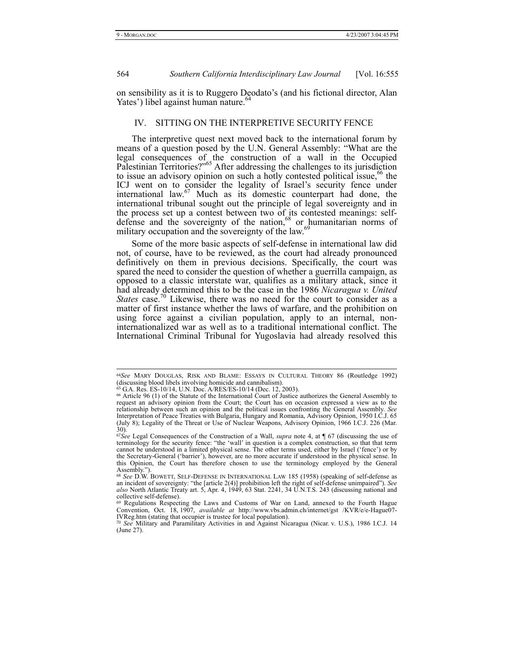564 *Southern California Interdisciplinary Law Journal* [Vol. 16:555

on sensibility as it is to Ruggero Deodato's (and his fictional director, Alan Yates') libel against human nature.<sup>6</sup>

# IV. SITTING ON THE INTERPRETIVE SECURITY FENCE

The interpretive quest next moved back to the international forum by means of a question posed by the U.N. General Assembly: "What are the legal consequences of the construction of a wall in the Occupied Palestinian Territories?"<sup>65</sup> After addressing the challenges to its jurisdiction to issue an advisory opinion on such a hotly contested political issue,<sup>66</sup> the ICJ went on to consider the legality of Israel's security fence under international law.67 Much as its domestic counterpart had done, the international tribunal sought out the principle of legal sovereignty and in the process set up a contest between two of its contested meanings: selfdefense and the sovereignty of the nation,  $68$  or humanitarian norms of military occupation and the sovereignty of the law.<sup>6</sup>

Some of the more basic aspects of self-defense in international law did not, of course, have to be reviewed, as the court had already pronounced definitively on them in previous decisions. Specifically, the court was spared the need to consider the question of whether a guerrilla campaign, as opposed to a classic interstate war, qualifies as a military attack, since it had already determined this to be the case in the 1986 *Nicaragua v. United States* case.<sup>70</sup> Likewise, there was no need for the court to consider as a matter of first instance whether the laws of warfare, and the prohibition on using force against a civilian population, apply to an internal, noninternationalized war as well as to a traditional international conflict. The International Criminal Tribunal for Yugoslavia had already resolved this

<sup>64</sup>*See* MARY DOUGLAS, RISK AND BLAME: ESSAYS IN CULTURAL THEORY 86 (Routledge 1992) (discussing blood libels involving homicide and cannibalism).

<sup>65</sup> G.A. Res. ES-10/14, U.N. Doc. A/RES/ES-10/14 (Dec. 12, 2003).

<sup>66</sup> Article 96 (1) of the Statute of the International Court of Justice authorizes the General Assembly to request an advisory opinion from the Court; the Court has on occasion expressed a view as to the relationship between such an opinion and the political issues confronting the General Assembly. *See* Interpretation of Peace Treaties with Bulgaria, Hungary and Romania, Advisory Opinion, 1950 I.C.J. 65 (July 8); Legality of the Threat or Use of Nuclear Weapons, Advisory Opinion, 1966 I.C.J. 226 (Mar. 30).

<sup>67</sup>*See* Legal Consequences of the Construction of a Wall, *supra* note 4, at ¶ 67 (discussing the use of terminology for the security fence: "the 'wall' in question is a complex construction, so that that term cannot be understood in a limited physical sense. The other terms used, either by Israel ('fence') or by the Secretary-General ('barrier'), however, are no more accurate if understood in the physical sense. In this Opinion, the Court has therefore chosen to use the terminology employed by the General Assembly."

<sup>68</sup> *See* D.W. BOWETT, SELF-DEFENSE IN INTERNATIONAL LAW 185 (1958) (speaking of self-defense as an incident of sovereignty: "the [article 2(4)] prohibition left the right of self-defense unimpaired"). See also North Atlantic Treaty art. 5, Apr. 4, 1949, 63 Stat. 2241, 34 U.N.T.S. 243 (discussing national and collective self-defense).

<sup>69</sup> Regulations Respecting the Laws and Customs of War on Land, annexed to the Fourth Hague Convention, Oct. 18, 1907, *available at* http://www.vbs.admin.ch/internet/gst /KVR/e/e-Hague07- IVReg.htm (stating that occupier is trustee for local population).

<sup>70</sup> *See* Military and Paramilitary Activities in and Against Nicaragua (Nicar. v. U.S.), 1986 I.C.J. 14 (June 27).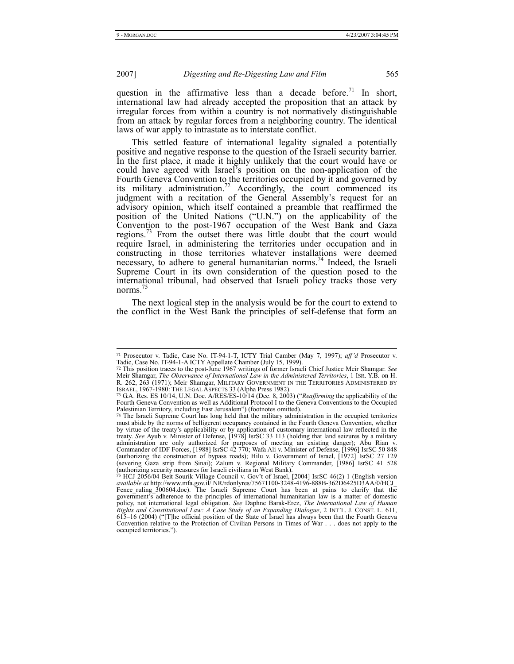#### 2007] *Digesting and Re-Digesting Law and Film* 565

question in the affirmative less than a decade before.<sup>71</sup> In short, international law had already accepted the proposition that an attack by irregular forces from within a country is not normatively distinguishable from an attack by regular forces from a neighboring country. The identical laws of war apply to intrastate as to interstate conflict.

This settled feature of international legality signaled a potentially positive and negative response to the question of the Israeli security barrier. In the first place, it made it highly unlikely that the court would have or could have agreed with Israel's position on the non-application of the Fourth Geneva Convention to the territories occupied by it and governed by its military administration.<sup>72</sup> Accordingly, the court commenced its judgment with a recitation of the General Assembly's request for an advisory opinion, which itself contained a preamble that reaffirmed the position of the United Nations ("U.N.") on the applicability of the Convention to the post-1967 occupation of the West Bank and Gaza regions.<sup>73</sup> From the outset there was little doubt that the court would require Israel, in administering the territories under occupation and in constructing in those territories whatever installations were deemed necessary, to adhere to general humanitarian norms.<sup>74</sup> Indeed, the Israeli Supreme Court in its own consideration of the question posed to the international tribunal, had observed that Israeli policy tracks those very norms.<sup>7</sup>

The next logical step in the analysis would be for the court to extend to the conflict in the West Bank the principles of self-defense that form an

<sup>71</sup> Prosecutor v. Tadic, Case No. IT-94-1-T, ICTY Trial Camber (May 7, 1997); *aff'd* Prosecutor v. Tadic, Case No. IT-94-1-A ICTY Appellate Chamber (July 15, 1999).

<sup>72</sup> This position traces to the post-June 1967 writings of former Israeli Chief Justice Meir Shamgar. *See* Meir Shamgar, *The Observance of International Law in the Administered Territories*, 1 ISR. Y.B. on H. R. 262, 263 (1971); Meir Shamgar, MILITARY GOVERNMENT IN THE TERRITORIES ADMINISTERED BY ISRAEL, 1967-1980: THE LEGAL ASPECTS 33 (Alpha Press 1982).<br><sup>73</sup> G.A. Res. ES 10/14, U.N. Doc. A/RES/ES-10/14 (Dec. 8, 2003) ("*Reaffirming* the applicability of the

Fourth Geneva Convention as well as Additional Protocol I to the Geneva Conventions to the Occupied Palestinian Territory, including East Jerusalem") (footnotes omitted).

<sup>74</sup> The Israeli Supreme Court has long held that the military administration in the occupied territories must abide by the norms of belligerent occupancy contained in the Fourth Geneva Convention, whether by virtue of the treaty's applicability or by application of customary international law reflected in the treaty. *See* Ayub v. Minister of Defense, [1978] IsrSC 33 113 (holding that land seizures by a military administration are only authorized for purposes of meeting an existing danger); Abu Rian v.<br>Commander of IDF Forces, [1988] IsrSC 42 770; Wafa Ali v. Minister of Defense, [1996] IsrSC 50 848<br>(authorizing the construction o (severing Gaza strip from Sinai); Zalum v. Regional Military Commander, [1986] IsrSC 41 528 (authorizing security measures for Israeli civilians in West Bank). <sup>75</sup> HCJ 2056/04 Beit Sourik Village Council v. Gov't of Israel, [2004] IsrSC 46(2) 1 (English version

available at http://www.mfa.gov.il/ NR/rdonlyres/75671100-3248-4196-888B-362D6425D3AA/0/HCJ\_<br>Fence\_ruling\_300604.doc). The Israeli Supreme Court has been at pains to clarify that the<br>government's adherence to the principle policy, not international legal obligation. *See* Daphne Barak-Erez, *The International Law of Human Rights and Constitutional Law: A Case Study of an Expanding Dialogue, 2 INT'L. J. CONST. L. 611, 615–16 (2004) ("[T]he official position of the State of Israel has always been that the Fourth Geneva* Convention relative to the Protection of Civilian Persons in Times of War . . . does not apply to the occupied territories.").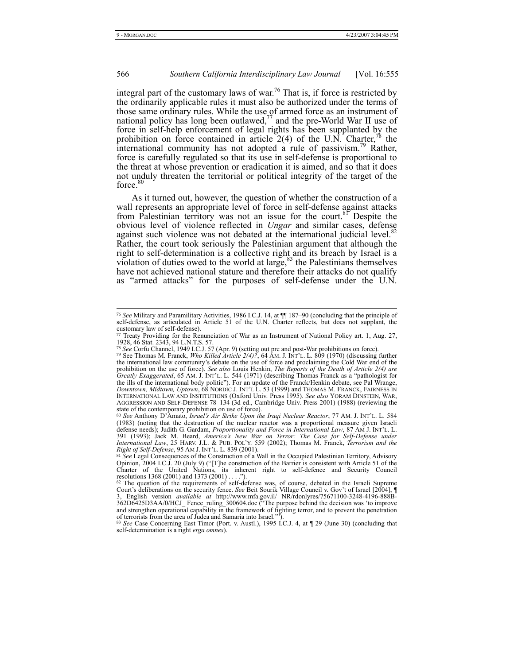# 566 *Southern California Interdisciplinary Law Journal* [Vol. 16:555

integral part of the customary laws of war.<sup>76</sup> That is, if force is restricted by the ordinarily applicable rules it must also be authorized under the terms of those same ordinary rules. While the use of armed force as an instrument of national policy has long been outlawed,<sup>77</sup> and the pre-World War II use of force in self-help enforcement of legal rights has been supplanted by the prohibition on force contained in article  $2(4)$  of the U.N. Charter,<sup>78</sup> the international community has not adopted a rule of passivism.<sup>79</sup> Rather, force is carefully regulated so that its use in self-defense is proportional to the threat at whose prevention or eradication it is aimed, and so that it does not unduly threaten the territorial or political integrity of the target of the force.<sup>80</sup>

As it turned out, however, the question of whether the construction of a wall represents an appropriate level of force in self-defense against attacks from Palestinian territory was not an issue for the court.<sup>81</sup> Despite the obvious level of violence reflected in *Ungar* and similar cases, defense against such violence was not debated at the international judicial level.<sup>8</sup> Rather, the court took seriously the Palestinian argument that although the right to self-determination is a collective right and its breach by Israel is a violation of duties owed to the world at large,  $83$  the Palestinians themselves have not achieved national stature and therefore their attacks do not qualify as "armed attacks" for the purposes of self-defense under the U.N.

<sup>76</sup> *See* Military and Paramilitary Activities, 1986 I.C.J. 14, at ¶¶ 187–90 (concluding that the principle of self-defense, as articulated in Article 51 of the U.N. Charter reflects, but does not supplant, the customary law of self-defense). <sup>77</sup> Treaty Providing for the Renunciation of War as an Instrument of National Policy art. 1, Aug. 27,

<sup>1928, 46</sup> Stat. 2343, 94 L.N.T.S. 57.

<sup>78</sup> *See* Corfu Channel, 1949 I.C.J. 57 (Apr. 9) (setting out pre and post-War prohibitions on force).

<sup>79</sup> See Thomas M. Franck, *Who Killed Article 2(4)?*, 64 AM. J. INT'L. L. 809 (1970) (discussing further the international law community's debate on the use of force and proclaiming the Cold War end of the prohibition on the use of force). *See also* Louis Henkin, *The Reports of the Death of Article 2(4) are Greatly Exaggerated*, 65 AM. J. INT'L. L. 544 (1971) (describing Thomas Franck as a "pathologist for the ills of the international body politic"). For an update of the Franck/Henkin debate, see Pal Wrange, *Downtown, Midtown, Uptown*, 68 NORDIC J. INT'L L. 53 (1999) and THOMAS M. FRANCK, FAIRNESS IN INTERNATIONAL LAW AND INSTITUTIONS (Oxford Univ. Press 1995). *See also* YORAM DINSTEIN, WAR, AGGRESSION AND SELF-DEFENSE 78–134 (3d ed., Cambridge Univ. Press 2001) (1988) (reviewing the state of the contemporary prohibition on use of force).

<sup>80</sup> *See* Anthony D'Amato, *Israel's Air Strike Upon the Iraqi Nuclear Reactor*, 77 AM. J. INT'L. L. 584 (1983) (noting that the destruction of the nuclear reactor was a proportional measure given Israeli defense needs); Judith G. Gardam, *Proportionality and Force in International Law*, 87 AM J. INT'L. L. 391 (1993); Jack M. Beard, *America's New War on Terror: The Case for Self-Defense under International Law*, 25 HARV. J.L. & PUB. POL'Y. 559 (2002); Thomas M. Franck, *Terrorism and the Right of Self-Defense*, 95 AM J. INT'L. L. 839 (2001).

<sup>&</sup>lt;sup>81</sup> See Legal Consequences of the Construction of a Wall in the Occupied Palestinian Territory, Advisory Opinion, 2004 I.C.J. 20 (July 9) ("[T]he construction of the Barrier is consistent with Article 51 of the Charter of the United Nations, its inherent right to self-defence and Security Council resolutions 1368 (2001) and 1373 (2001) . . . .").

 $82$  The question of the requirements of self-defense was, of course, debated in the Israeli Supreme Court's deliberations on the security fence. *See* Beit Sourik Village Council v. Gov't of Israel [2004], ¶ 3, English version *available at* http://www.mfa.gov.il/ NR/rdonlyres/75671100-3248-4196-888B-362D6425D3AA/0/HCJ\_ Fence\_ruling\_300604.doc ("The purpose behind the decision was 'to improve and strengthen operational capability in the framework of fighting terror, and to prevent the penetration of terrorists from the area of Judea and Samaria into Israel.'").

<sup>83</sup> *See* Case Concerning East Timor (Port. v. Austl.), 1995 I.C.J. 4, at ¶ 29 (June 30) (concluding that self-determination is a right *erga omnes*).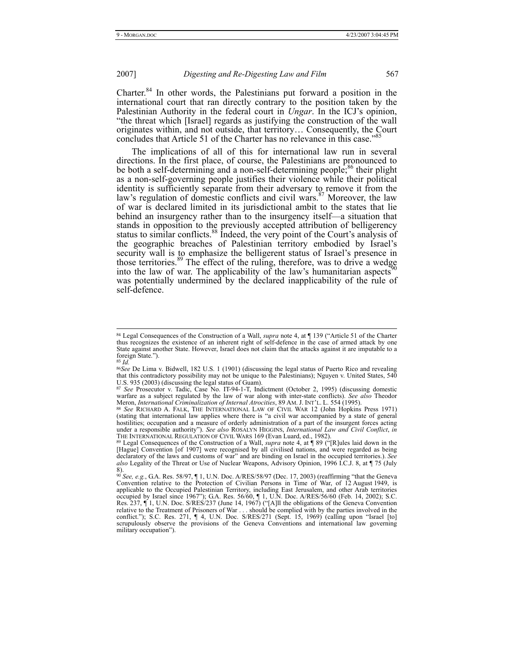Charter.<sup>84</sup> In other words, the Palestinians put forward a position in the international court that ran directly contrary to the position taken by the Palestinian Authority in the federal court in *Ungar*. In the ICJ's opinion, "the threat which [Israel] regards as justifying the construction of the wall originates within, and not outside, that territory… Consequently, the Court concludes that Article 51 of the Charter has no relevance in this case."

The implications of all of this for international law run in several directions. In the first place, of course, the Palestinians are pronounced to be both a self-determining and a non-self-determining people;<sup>86</sup> their plight as a non-self-governing people justifies their violence while their political identity is sufficiently separate from their adversary to remove it from the law's regulation of domestic conflicts and civil wars.<sup>87</sup> Moreover, the law of war is declared limited in its jurisdictional ambit to the states that lie behind an insurgency rather than to the insurgency itself—a situation that stands in opposition to the previously accepted attribution of belligerency status to similar conflicts.<sup>88</sup> Indeed, the very point of the Court's analysis of the geographic breaches of Palestinian territory embodied by Israel's security wall is to emphasize the belligerent status of Israel's presence in those territories.<sup>89</sup> The effect of the ruling, therefore, was to drive a wedge into the law of war. The applicability of the law's humanitarian aspects<sup>9</sup> was potentially undermined by the declared inapplicability of the rule of self-defence.

<sup>84</sup> Legal Consequences of the Construction of a Wall, *supra* note 4, at ¶ 139 ("Article 51 of the Charter thus recognizes the existence of an inherent right of self-defence in the case of armed attack by one State against another State. However, Israel does not claim that the attacks against it are imputable to a foreign State.").

<sup>85</sup> *Id.*

<sup>86</sup>*See* De Lima v. Bidwell, 182 U.S. 1 (1901) (discussing the legal status of Puerto Rico and revealing that this contradictory possibility may not be unique to the Palestinians); Nguyen v. United States, 540 U.S. 935 (2003) (discussing the legal status of Guam).

<sup>87</sup> *See* Prosecutor v. Tadic, Case No. IT-94-1-T, Indictment (October 2, 1995) (discussing domestic warfare as a subject regulated by the law of war along with inter-state conflicts). *See also* Theodor Meron, *International Criminalization of Internal Atrocities*, 89 AM. J. INT'L. L. 554 (1995).

<sup>88</sup> *See* RICHARD A. FALK, THE INTERNATIONAL LAW OF CIVIL WAR 12 (John Hopkins Press 1971) (stating that international law applies where there is "a civil war accompanied by a state of general hostilities; occupation and a measure of orderly administration of a part of the insurgent forces acting under a responsible authority"). *See also* ROSALYN HIGGINS, *International Law and Civil Conflict*, *in* THE INTERNATIONAL REGULATION OF CIVIL WARS 169 (Evan Luard, ed., 1982).

<sup>89</sup> Legal Consequences of the Construction of a Wall, *supra* note 4, at ¶ 89 ("[R]ules laid down in the [Hague] Convention [of 1907] were recognised by all civilised nations, and were regarded as being declaratory of the laws and customs of war" and are binding on Israel in the occupied territories.). *See also* Legality of the Threat or Use of Nuclear Weapons, Advisory Opinion, 1996 I.C.J. 8, at ¶ 75 (July

<sup>8).&</sup>lt;br><sup>90</sup> *See, e.g.*, G.A. Res. 58/97, ¶ 1, U.N. Doc. A/RES/58/97 (Dec. 17, 2003) (reaffirming "that the Geneva" Convention relative to the Protection of Civilian Persons in Time of War, of 12 August 1949, is applicable to the Occupied Palestinian Territory, including East Jerusalem, and other Arab territories occupied by Israel sinc Res. 237, ¶ 1, U.N. Doc. S/RES/237 (June 14, 1967) ("[A]ll the obligations of the Geneva Convention relative to the Treatment of Prisoners of War . . . should be complied with by the parties involved in the conflict."); S.C. Res. 271, ¶ 4, U.N. Doc. S/RES/271 (Sept. 15, 1969) (calling upon "Israel [to] scrupulously observe the provisions of the Geneva Conventions and international law governing military occupation").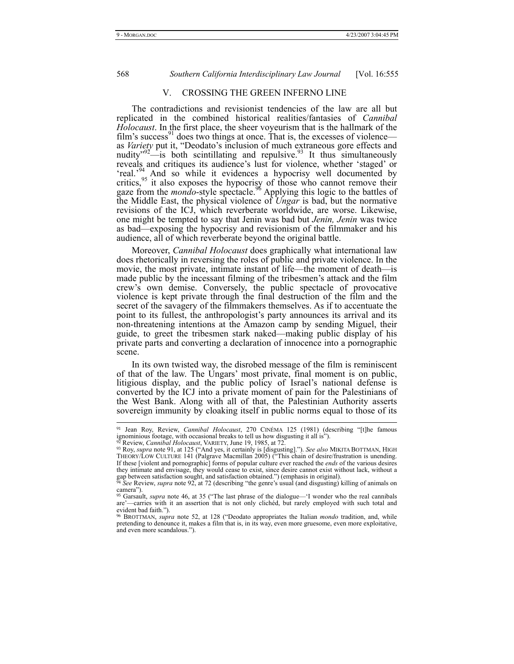568 *Southern California Interdisciplinary Law Journal* [Vol. 16:555

# V. CROSSING THE GREEN INFERNO LINE

The contradictions and revisionist tendencies of the law are all but replicated in the combined historical realities/fantasies of *Cannibal Holocaust*. In the first place, the sheer voyeurism that is the hallmark of the film's success<sup>91</sup> does two things at once. That is, the excesses of violence as *Variety* put it, "Deodato's inclusion of much extraneous gore effects and nudity $\frac{1}{2}$  is both scintillating and repulsive.<sup>93</sup> It thus simultaneously reveals and critiques its audience's lust for violence, whether 'staged' or 'real.<sup>94</sup> And so while it evidences a hypocrisy well documented by critics, $95$  it also exposes the hypocrisy of those who cannot remove their gaze from the *mondo*-style spectacle.<sup>96</sup> Applying this logic to the battles of the Middle East, the physical violence of *Ungar* is bad, but the normative revisions of the ICJ, which reverberate worldwide, are worse. Likewise, one might be tempted to say that Jenin was bad but *Jenin, Jenin* was twice as bad—exposing the hypocrisy and revisionism of the filmmaker and his audience, all of which reverberate beyond the original battle.

Moreover, *Cannibal Holocaust* does graphically what international law does rhetorically in reversing the roles of public and private violence. In the movie, the most private, intimate instant of life—the moment of death—is made public by the incessant filming of the tribesmen's attack and the film crew's own demise. Conversely, the public spectacle of provocative violence is kept private through the final destruction of the film and the secret of the savagery of the filmmakers themselves. As if to accentuate the point to its fullest, the anthropologist's party announces its arrival and its non-threatening intentions at the Amazon camp by sending Miguel, their guide, to greet the tribesmen stark naked—making public display of his private parts and converting a declaration of innocence into a pornographic scene.

In its own twisted way, the disrobed message of the film is reminiscent of that of the law. The Ungars' most private, final moment is on public, litigious display, and the public policy of Israel's national defense is converted by the ICJ into a private moment of pain for the Palestinians of the West Bank. Along with all of that, the Palestinian Authority asserts sovereign immunity by cloaking itself in public norms equal to those of its

<sup>91</sup> Jean Roy, Review, *Cannibal Holocaust*, 270 CINÉMA 125 (1981) (describing "[t]he famous ignominious footage, with occasional breaks to tell us how disgusting it all is").

<sup>92</sup> Review, *Cannibal Holocaust*, VARIETY, June 19, 1985, at 72.

<sup>93</sup> Roy, *supra* note 91, at 125 ("And yes, it certainly is [disgusting]."). *See also* MIKITA BOTTMAN, HIGH THEORY/LOW CULTURE 141 (Palgrave Macmillan 2005) ("This chain of desire/frustration is unending. If these [violent and pornographic] forms of popular culture ever reached the *ends* of the various desires they intimate and envisage, they would cease to exist, since desire cannot exist without lack, without a gap between satisfaction sought, and satisfaction obtained.") (emphasis in original).

<sup>94</sup> *See* Review, *supra* note 92, at 72 (describing "the genre's usual (and disgusting) killing of animals on camera"). <sup>95</sup> Garsault, *supra* note 46, at 35 ("The last phrase of the dialogue—'I wonder who the real cannibals

are'—carries with it an assertion that is not only clichéd, but rarely employed with such total and

evident bad faith."). <sup>96</sup> BROTTMAN, *supra* note 52, at 128 ("Deodato appropriates the Italian *mondo* tradition, and, while pretending to denounce it, makes a film that is, in its way, even more gruesome, even more exploitative, and even more scandalous.").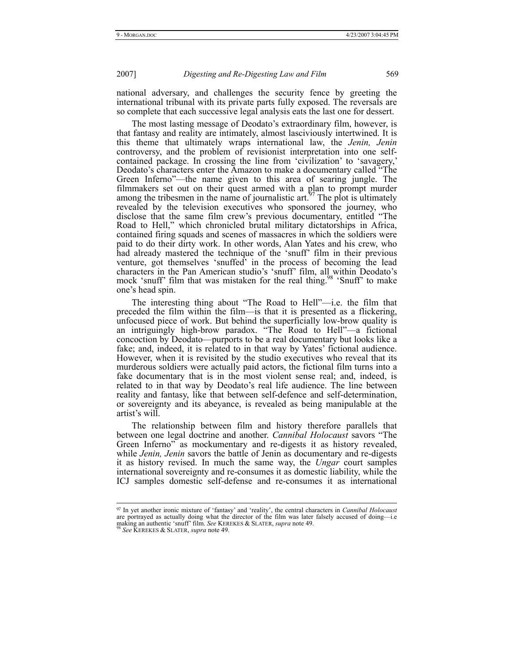national adversary, and challenges the security fence by greeting the international tribunal with its private parts fully exposed. The reversals are so complete that each successive legal analysis eats the last one for dessert.

The most lasting message of Deodato's extraordinary film, however, is that fantasy and reality are intimately, almost lasciviously intertwined. It is this theme that ultimately wraps international law, the *Jenin, Jenin* controversy, and the problem of revisionist interpretation into one selfcontained package. In crossing the line from 'civilization' to 'savagery,' Deodato's characters enter the Amazon to make a documentary called "The Green Inferno"—the name given to this area of searing jungle. The filmmakers set out on their quest armed with a plan to prompt murder among the tribesmen in the name of journalistic art.<sup>97</sup> The plot is ultimately revealed by the television executives who sponsored the journey, who disclose that the same film crew's previous documentary, entitled "The Road to Hell," which chronicled brutal military dictatorships in Africa, contained firing squads and scenes of massacres in which the soldiers were paid to do their dirty work. In other words, Alan Yates and his crew, who had already mastered the technique of the 'snuff' film in their previous venture, got themselves 'snuffed' in the process of becoming the lead characters in the Pan American studio's 'snuff' film, all within Deodato's mock 'snuff' film that was mistaken for the real thing.<sup>98</sup> 'Snuff' to make one's head spin.

The interesting thing about "The Road to Hell"—i.e. the film that preceded the film within the film—is that it is presented as a flickering, unfocused piece of work. But behind the superficially low-brow quality is an intriguingly high-brow paradox. "The Road to Hell"—a fictional concoction by Deodato—purports to be a real documentary but looks like a fake; and, indeed, it is related to in that way by Yates' fictional audience. However, when it is revisited by the studio executives who reveal that its murderous soldiers were actually paid actors, the fictional film turns into a fake documentary that is in the most violent sense real; and, indeed, is related to in that way by Deodato's real life audience. The line between reality and fantasy, like that between self-defence and self-determination, or sovereignty and its abeyance, is revealed as being manipulable at the artist's will.

The relationship between film and history therefore parallels that between one legal doctrine and another. *Cannibal Holocaust* savors "The Green Inferno" as mockumentary and re-digests it as history revealed, while *Jenin, Jenin* savors the battle of Jenin as documentary and re-digests it as history revised. In much the same way, the *Ungar* court samples international sovereignty and re-consumes it as domestic liability, while the ICJ samples domestic self-defense and re-consumes it as international

<sup>97</sup> In yet another ironic mixture of 'fantasy' and 'reality', the central characters in *Cannibal Holocaust* are portrayed as actually doing what the director of the film was later falsely accused of doing—i.e making an authentic 'snuff' film. *See* KEREKES & SLATER, *supra* note 49. 98 *See* KEREKES & SLATER, *supra* note 49.